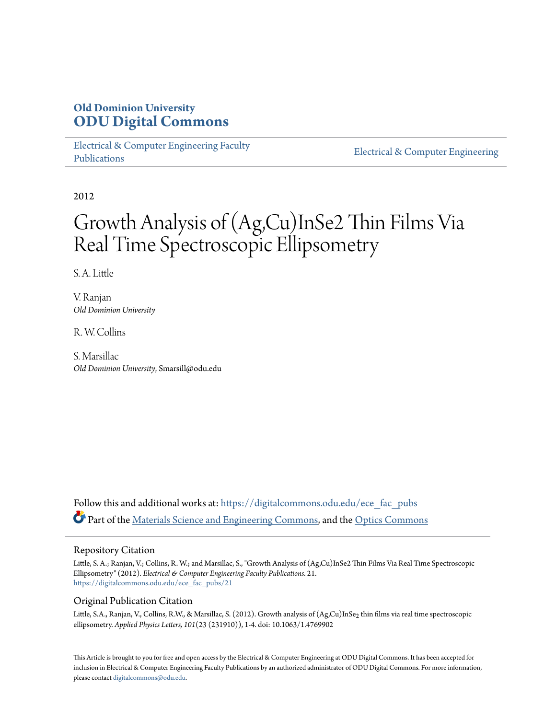## **Old Dominion University [ODU Digital Commons](https://digitalcommons.odu.edu?utm_source=digitalcommons.odu.edu%2Fece_fac_pubs%2F21&utm_medium=PDF&utm_campaign=PDFCoverPages)**

[Electrical & Computer Engineering Faculty](https://digitalcommons.odu.edu/ece_fac_pubs?utm_source=digitalcommons.odu.edu%2Fece_fac_pubs%2F21&utm_medium=PDF&utm_campaign=PDFCoverPages) [Publications](https://digitalcommons.odu.edu/ece_fac_pubs?utm_source=digitalcommons.odu.edu%2Fece_fac_pubs%2F21&utm_medium=PDF&utm_campaign=PDFCoverPages)

[Electrical & Computer Engineering](https://digitalcommons.odu.edu/ece?utm_source=digitalcommons.odu.edu%2Fece_fac_pubs%2F21&utm_medium=PDF&utm_campaign=PDFCoverPages)

2012

# Growth Analysis of (Ag,Cu)InSe2 Thin Films Via Real Time Spectroscopic Ellipsometry

S. A. Little

V. Ranjan *Old Dominion University*

R. W. Collins

S. Marsillac *Old Dominion University*, Smarsill@odu.edu

Follow this and additional works at: [https://digitalcommons.odu.edu/ece\\_fac\\_pubs](https://digitalcommons.odu.edu/ece_fac_pubs?utm_source=digitalcommons.odu.edu%2Fece_fac_pubs%2F21&utm_medium=PDF&utm_campaign=PDFCoverPages) Part of the [Materials Science and Engineering Commons](http://network.bepress.com/hgg/discipline/285?utm_source=digitalcommons.odu.edu%2Fece_fac_pubs%2F21&utm_medium=PDF&utm_campaign=PDFCoverPages), and the [Optics Commons](http://network.bepress.com/hgg/discipline/204?utm_source=digitalcommons.odu.edu%2Fece_fac_pubs%2F21&utm_medium=PDF&utm_campaign=PDFCoverPages)

#### Repository Citation

Little, S. A.; Ranjan, V.; Collins, R. W.; and Marsillac, S., "Growth Analysis of (Ag,Cu)InSe2 Thin Films Via Real Time Spectroscopic Ellipsometry" (2012). *Electrical & Computer Engineering Faculty Publications*. 21. [https://digitalcommons.odu.edu/ece\\_fac\\_pubs/21](https://digitalcommons.odu.edu/ece_fac_pubs/21?utm_source=digitalcommons.odu.edu%2Fece_fac_pubs%2F21&utm_medium=PDF&utm_campaign=PDFCoverPages)

#### Original Publication Citation

Little, S.A., Ranjan, V., Collins, R.W., & Marsillac, S. (2012). Growth analysis of (Ag,Cu)InSe<sub>2</sub> thin films via real time spectroscopic ellipsometry. *Applied Physics Letters, 101*(23 (231910)), 1-4. doi: 10.1063/1.4769902

This Article is brought to you for free and open access by the Electrical & Computer Engineering at ODU Digital Commons. It has been accepted for inclusion in Electrical & Computer Engineering Faculty Publications by an authorized administrator of ODU Digital Commons. For more information, please contact [digitalcommons@odu.edu](mailto:digitalcommons@odu.edu).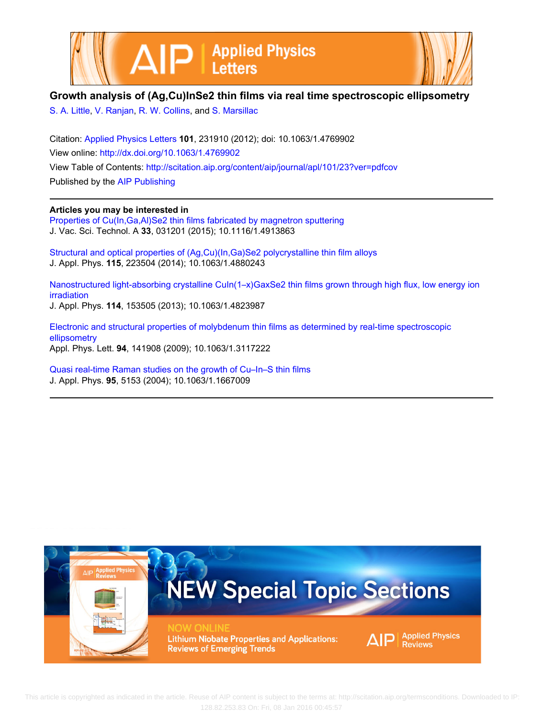



### **Growth analysis of (Ag,Cu)InSe2 thin films via real time spectroscopic ellipsometry**

[S. A. Little,](http://scitation.aip.org/search?value1=S.+A.+Little&option1=author) [V. Ranjan,](http://scitation.aip.org/search?value1=V.+Ranjan&option1=author) [R. W. Collins](http://scitation.aip.org/search?value1=R.+W.+Collins&option1=author), and [S. Marsillac](http://scitation.aip.org/search?value1=S.+Marsillac&option1=author)

Citation: [Applied Physics Letters](http://scitation.aip.org/content/aip/journal/apl?ver=pdfcov) **101**, 231910 (2012); doi: 10.1063/1.4769902 View online: <http://dx.doi.org/10.1063/1.4769902> View Table of Contents: <http://scitation.aip.org/content/aip/journal/apl/101/23?ver=pdfcov> Published by the [AIP Publishing](http://scitation.aip.org/content/aip?ver=pdfcov)

#### **Articles you may be interested in**

Properties of Cu(In,Ga,AI)Se2 thin films fabricated by magnetron sputtering J. Vac. Sci. Technol. A **33**, 031201 (2015); 10.1116/1.4913863

[Structural and optical properties of \(Ag,Cu\)\(In,Ga\)Se2 polycrystalline thin film alloys](http://scitation.aip.org/content/aip/journal/jap/115/22/10.1063/1.4880243?ver=pdfcov) J. Appl. Phys. **115**, 223504 (2014); 10.1063/1.4880243

Nanostructured light-absorbing crystalline CuIn(1-x)GaxSe2 thin films grown through high flux, low energy ion [irradiation](http://scitation.aip.org/content/aip/journal/jap/114/15/10.1063/1.4823987?ver=pdfcov) J. Appl. Phys. **114**, 153505 (2013); 10.1063/1.4823987

[Electronic and structural properties of molybdenum thin films as determined by real-time spectroscopic](http://scitation.aip.org/content/aip/journal/apl/94/14/10.1063/1.3117222?ver=pdfcov)

[ellipsometry](http://scitation.aip.org/content/aip/journal/apl/94/14/10.1063/1.3117222?ver=pdfcov) Appl. Phys. Lett. **94**, 141908 (2009); 10.1063/1.3117222

[Quasi real-time Raman studies on the growth of Cu–In–S thin films](http://scitation.aip.org/content/aip/journal/jap/95/9/10.1063/1.1667009?ver=pdfcov) J. Appl. Phys. **95**, 5153 (2004); 10.1063/1.1667009



 This article is copyrighted as indicated in the article. Reuse of AIP content is subject to the terms at: http://scitation.aip.org/termsconditions. Downloaded to IP: 128.82.253.83 On: Fri, 08 Jan 2016 00:45:57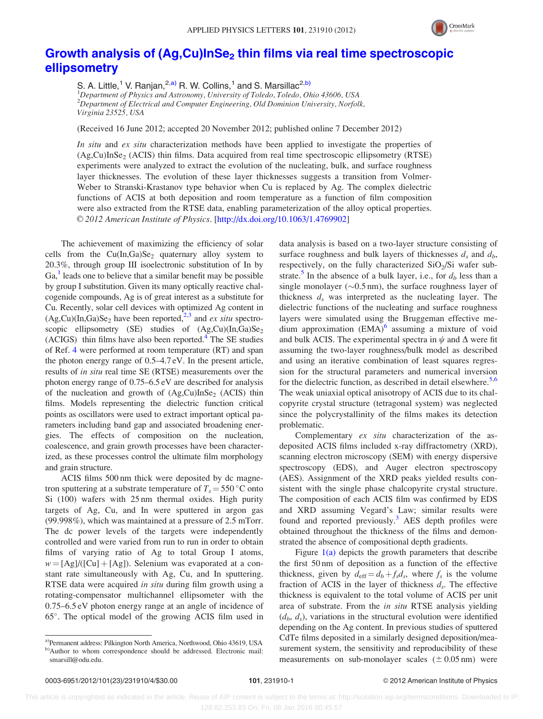

## Growth analysis of (Ag,Cu)InSe<sub>2</sub> [thin films via real time spectroscopic](http://dx.doi.org/10.1063/1.4769902) [ellipsometry](http://dx.doi.org/10.1063/1.4769902)

S. A. Little,<sup>1</sup> V. Ranjan,<sup>2,a)</sup> R. W. Collins,<sup>1</sup> and S. Marsillac<sup>2,b)</sup> <sup>1</sup>Department of Physics and Astronomy, University of Toledo, Toledo, Ohio 43606, USA  $^{2}$ Department of Electrical and Computer Engineering, Old Dominion University, Norfolk, Virginia 23525, USA

(Received 16 June 2012; accepted 20 November 2012; published online 7 December 2012)

In situ and ex situ characterization methods have been applied to investigate the properties of  $(Ag,Cu)InSe<sub>2</sub> (ACIS)$  thin films. Data acquired from real time spectroscopic ellipsometry (RTSE) experiments were analyzed to extract the evolution of the nucleating, bulk, and surface roughness layer thicknesses. The evolution of these layer thicknesses suggests a transition from Volmer-Weber to Stranski-Krastanov type behavior when Cu is replaced by Ag. The complex dielectric functions of ACIS at both deposition and room temperature as a function of film composition were also extracted from the RTSE data, enabling parameterization of the alloy optical properties. V<sup>C</sup> 2012 American Institute of Physics. [[http://dx.doi.org/10.1063/1.4769902\]](http://dx.doi.org/10.1063/1.4769902)

The achievement of maximizing the efficiency of solar cells from the  $Cu(In,Ga)Se<sub>2</sub>$  quaternary alloy system to 20.3%, through group III isoelectronic substitution of In by  $Ga<sup>1</sup>$  $Ga<sup>1</sup>$  $Ga<sup>1</sup>$  leads one to believe that a similar benefit may be possible by group I substitution. Given its many optically reactive chalcogenide compounds, Ag is of great interest as a substitute for Cu. Recently, solar cell devices with optimized Ag content in  $(Ag,Cu)(In,Ga)Se<sub>2</sub> have been reported, <sup>2,3</sup> and ex situ spectro$ scopic ellipsometry (SE) studies of  $(Ag,Cu)(In,Ga)Se<sub>2</sub>$ (ACIGS) thin films have also been reported. $4$  The SE studies of Ref. [4](#page-5-0) were performed at room temperature (RT) and span the photon energy range of 0.5–4.7 eV. In the present article, results of in situ real time SE (RTSE) measurements over the photon energy range of 0.75–6.5 eV are described for analysis of the nucleation and growth of  $(Ag,Cu)InSe<sub>2</sub> (ACIS)$  thin films. Models representing the dielectric function critical points as oscillators were used to extract important optical parameters including band gap and associated broadening energies. The effects of composition on the nucleation, coalescence, and grain growth processes have been characterized, as these processes control the ultimate film morphology and grain structure.

ACIS films 500 nm thick were deposited by dc magnetron sputtering at a substrate temperature of  $T_s = 550 \degree C$  onto Si (100) wafers with 25 nm thermal oxides. High purity targets of Ag, Cu, and In were sputtered in argon gas (99.998%), which was maintained at a pressure of 2.5 mTorr. The dc power levels of the targets were independently controlled and were varied from run to run in order to obtain films of varying ratio of Ag to total Group I atoms,  $w = [Ag]/([Cu] + [Ag])$ . Selenium was evaporated at a constant rate simultaneously with Ag, Cu, and In sputtering. RTSE data were acquired *in situ* during film growth using a rotating-compensator multichannel ellipsometer with the 0.75–6.5 eV photon energy range at an angle of incidence of 65°. The optical model of the growing ACIS film used in data analysis is based on a two-layer structure consisting of surface roughness and bulk layers of thicknesses  $d_s$  and  $d_b$ , respectively, on the fully characterized  $SiO<sub>2</sub>/Si$  wafer sub-strate.<sup>[5](#page-5-0)</sup> In the absence of a bulk layer, i.e., for  $d<sub>b</sub>$  less than a single monolayer ( $\sim$ 0.5 nm), the surface roughness layer of thickness  $d_s$  was interpreted as the nucleating layer. The dielectric functions of the nucleating and surface roughness layers were simulated using the Bruggeman effective medium approximation  $(EMA)^6$  $(EMA)^6$  assuming a mixture of void and bulk ACIS. The experimental spectra in  $\psi$  and  $\Delta$  were fit assuming the two-layer roughness/bulk model as described and using an iterative combination of least squares regression for the structural parameters and numerical inversion for the dielectric function, as described in detail elsewhere.<sup>[5,6](#page-5-0)</sup> The weak uniaxial optical anisotropy of ACIS due to its chalcopyrite crystal structure (tetragonal system) was neglected since the polycrystallinity of the films makes its detection problematic.

Complementary ex situ characterization of the asdeposited ACIS films included x-ray diffractometry (XRD), scanning electron microscopy (SEM) with energy dispersive spectroscopy (EDS), and Auger electron spectroscopy (AES). Assignment of the XRD peaks yielded results consistent with the single phase chalcopyrite crystal structure. The composition of each ACIS film was confirmed by EDS and XRD assuming Vegard's Law; similar results were found and reported previously.<sup>[3](#page-5-0)</sup> AES depth profiles were obtained throughout the thickness of the films and demonstrated the absence of compositional depth gradients.

Figure  $1(a)$  depicts the growth parameters that describe the first 50 nm of deposition as a function of the effective thickness, given by  $d_{\text{eff}} = d_b + f_s d_s$ , where  $f_s$  is the volume fraction of ACIS in the layer of thickness  $d_s$ . The effective thickness is equivalent to the total volume of ACIS per unit area of substrate. From the in situ RTSE analysis yielding  $(d_b, d_s)$ , variations in the structural evolution were identified depending on the Ag content. In previous studies of sputtered CdTe films deposited in a similarly designed deposition/measurement system, the sensitivity and reproducibility of these measurements on sub-monolayer scales  $(\pm 0.05 \text{ nm})$  were

a)Permanent address: Pilkington North America, Northwood, Ohio 43619, USA b)Author to whom correspondence should be addressed. Electronic mail: [smarsill@odu.edu](mailto:smarsill@odu.edu).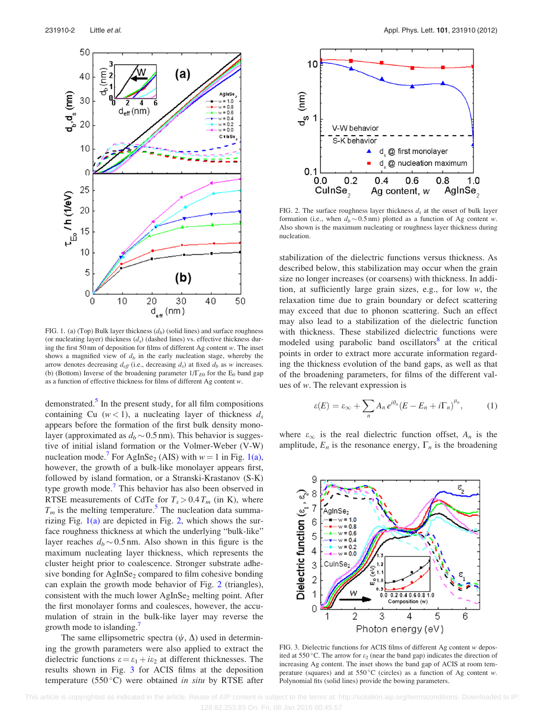<span id="page-3-0"></span>

FIG. 1. (a) (Top) Bulk layer thickness  $(d_b)$  (solid lines) and surface roughness (or nucleating layer) thickness  $(d_s)$  (dashed lines) vs. effective thickness during the first 50 nm of deposition for films of different Ag content  $w$ . The inset shows a magnified view of  $d<sub>b</sub>$  in the early nucleation stage, whereby the arrow denotes decreasing  $d_{\text{eff}}$  (i.e., decreasing  $d_s$ ) at fixed  $d_b$  as w increases. (b) (Bottom) Inverse of the broadening parameter  $1/\Gamma_{E0}$  for the E<sub>0</sub> band gap as a function of effective thickness for films of different Ag content w.

demonstrated. $<sup>5</sup>$  In the present study, for all film compositions</sup> containing Cu ( $w < 1$ ), a nucleating layer of thickness  $d_s$ appears before the formation of the first bulk density monolayer (approximated as  $d_b \sim 0.5$  nm). This behavior is suggestive of initial island formation or the Volmer-Weber (V-W) nucleation mode.' For AgInSe<sub>2</sub> (AIS) with  $w = 1$  in Fig. 1(a), however, the growth of a bulk-like monolayer appears first, followed by island formation, or a Stranski-Krastanov (S-K) type growth mode.<sup>7</sup> This behavior has also been observed in RTSE measurements of CdTe for  $T_s > 0.4 T_m$  (in K), where  $T_m$  is the melting temperature.<sup>5</sup> The nucleation data summarizing Fig.  $1(a)$  are depicted in Fig. 2, which shows the surface roughness thickness at which the underlying "bulk-like" layer reaches  $d_b \sim 0.5$  nm. Also shown in this figure is the maximum nucleating layer thickness, which represents the cluster height prior to coalescence. Stronger substrate adhesive bonding for  $AgInSe<sub>2</sub>$  compared to film cohesive bonding can explain the growth mode behavior of Fig. 2 (triangles), consistent with the much lower  $AgInSe<sub>2</sub>$  melting point. After the first monolayer forms and coalesces, however, the accumulation of strain in the bulk-like layer may reverse the growth mode to islanding.

The same ellipsometric spectra  $(\psi, \Delta)$  used in determining the growth parameters were also applied to extract the dielectric functions  $\varepsilon = \varepsilon_1 + i\varepsilon_2$  at different thicknesses. The results shown in Fig. 3 for ACIS films at the deposition temperature (550 $^{\circ}$ C) were obtained in situ by RTSE after



FIG. 2. The surface roughness layer thickness  $d_s$  at the onset of bulk layer formation (i.e., when  $d_b \sim 0.5$  nm) plotted as a function of Ag content w. Also shown is the maximum nucleating or roughness layer thickness during nucleation.

stabilization of the dielectric functions versus thickness. As described below, this stabilization may occur when the grain size no longer increases (or coarsens) with thickness. In addition, at sufficiently large grain sizes, e.g., for low w, the relaxation time due to grain boundary or defect scattering may exceed that due to phonon scattering. Such an effect may also lead to a stabilization of the dielectric function with thickness. These stabilized dielectric functions were modeled using parabolic band oscillators<sup>[8](#page-5-0)</sup> at the critical points in order to extract more accurate information regarding the thickness evolution of the band gaps, as well as that of the broadening parameters, for films of the different values of w. The relevant expression is

$$
\varepsilon(E) = \varepsilon_{\infty} + \sum_{n} A_n e^{i\theta_n} (E - E_n + i\Gamma_n)^{\mu_n}, \tag{1}
$$

where  $\varepsilon_{\infty}$  is the real dielectric function offset,  $A_n$  is the amplitude,  $E_n$  is the resonance energy,  $\Gamma_n$  is the broadening



FIG. 3. Dielectric functions for ACIS films of different Ag content w deposited at 550 °C. The arrow for  $\varepsilon_2$  (near the band gap) indicates the direction of increasing Ag content. The inset shows the band gap of ACIS at room temperature (squares) and at  $550^{\circ}$ C (circles) as a function of Ag content w. Polynomial fits (solid lines) provide the bowing parameters.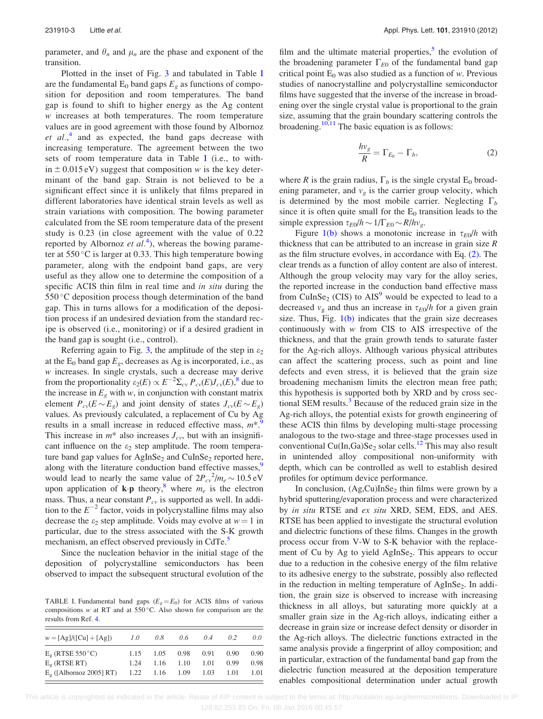parameter, and  $\theta_n$  and  $\mu_n$  are the phase and exponent of the transition.

Plotted in the inset of Fig. [3](#page-3-0) and tabulated in Table I are the fundamental  $E_0$  band gaps  $E_g$  as functions of composition for deposition and room temperatures. The band gap is found to shift to higher energy as the Ag content w increases at both temperatures. The room temperature values are in good agreement with those found by Albornoz et  $al$ ,<sup>[4](#page-5-0)</sup> and as expected, the band gaps decrease with increasing temperature. The agreement between the two sets of room temperature data in Table I (i.e., to within  $\pm$  0.015 eV) suggest that composition w is the key determinant of the band gap. Strain is not believed to be a significant effect since it is unlikely that films prepared in different laboratories have identical strain levels as well as strain variations with composition. The bowing parameter calculated from the SE room temperature data of the present study is 0.23 (in close agreement with the value of 0.22 reported by Albornoz et  $al^4$  $al^4$ ), whereas the bowing parameter at  $550^{\circ}$ C is larger at 0.33. This high temperature bowing parameter, along with the endpoint band gaps, are very useful as they allow one to determine the composition of a specific ACIS thin film in real time and *in situ* during the 550 °C deposition process though determination of the band gap. This in turns allows for a modification of the deposition process if an undesired deviation from the standard recipe is observed (i.e., monitoring) or if a desired gradient in the band gap is sought (i.e., control).

Referring again to Fig. [3](#page-3-0), the amplitude of the step in  $\varepsilon_2$ at the  $E_0$  band gap  $E<sub>g</sub>$ , decreases as Ag is incorporated, i.e., as  $w$  increases. In single crystals, such a decrease may derive from the proportionality  $\varepsilon_2(E) \propto E^{-2} \Sigma_{cv} P_{cv}(E) J_{cv}(E),$ <sup>8</sup> due to the increase in  $E_g$  with w, in conjunction with constant matrix element  $P_{cv}(E \sim E_g)$  and joint density of states  $J_{cv}(E \sim E_g)$ values. As previously calculated, a replacement of Cu by Ag results in a small increase in reduced effective mass,  $m^*$ . This increase in  $m^*$  also increases  $J_{cv}$ , but with an insignificant influence on the  $\varepsilon_2$  step amplitude. The room temperature band gap values for  $AgInSe<sub>2</sub>$  and  $CuInSe<sub>2</sub>$  reported here, along with the literature conduction band effective masses,<sup>9</sup> would lead to nearly the same value of  $2P_{cv}^2/m_e \sim 10.5 \text{ eV}$ upon application of  $\mathbf{k}\cdot\mathbf{p}$  theory,<sup>[8](#page-5-0)</sup> where  $m_e$  is the electron mass. Thus, a near constant  $P_{cv}$  is supported as well. In addition to the  $E^{-2}$  factor, voids in polycrystalline films may also decrease the  $\varepsilon_2$  step amplitude. Voids may evolve at  $w = 1$  in particular, due to the stress associated with the S-K growth mechanism, an effect observed previously in CdTe.<sup>3</sup>

Since the nucleation behavior in the initial stage of the deposition of polycrystalline semiconductors has been observed to impact the subsequent structural evolution of the

TABLE I. Fundamental band gaps  $(E<sub>g</sub> = E<sub>0</sub>)$  for ACIS films of various compositions w at RT and at  $550^{\circ}$ C. Also shown for comparison are the results from Ref. [4.](#page-5-0)

| $w = [Ag]/([Cu] + [Ag])$  | 1.0  | 0.8      | 0.6            | 04   | 02   | 0.0               |
|---------------------------|------|----------|----------------|------|------|-------------------|
| $E_{\rm g}$ (RTSE 550 °C) | 1.15 | $1.05 -$ | 0.98           | 0.91 | 0.90 | 0.90 <sub>1</sub> |
| $Eo$ (RTSE RT)            | 1.24 | 1.16     | 1.10           | 1.01 | 0.99 | 0.98              |
| $Eg$ ([Albornoz 2005] RT) |      |          | 1.22 1.16 1.09 | 1.03 | 1.01 | 1.01              |

film and the ultimate material properties, $\frac{5}{3}$  the evolution of the broadening parameter  $\Gamma_{E0}$  of the fundamental band gap critical point  $E_0$  was also studied as a function of w. Previous studies of nanocrystalline and polycrystalline semiconductor films have suggested that the inverse of the increase in broadening over the single crystal value is proportional to the grain size, assuming that the grain boundary scattering controls the broadening. $10,11$  The basic equation is as follows:

$$
\frac{hv_g}{R} = \Gamma_{E_0} - \Gamma_b,\tag{2}
$$

where R is the grain radius,  $\Gamma_b$  is the single crystal E<sub>0</sub> broadening parameter, and  $v<sub>g</sub>$  is the carrier group velocity, which is determined by the most mobile carrier. Neglecting  $\Gamma_b$ since it is often quite small for the  $E_0$  transition leads to the simple expression  $\tau_{E0}/h \sim 1/\Gamma_{E0} \sim R/hv_g$ .

Figure [1\(b\)](#page-3-0) shows a monotonic increase in  $\tau_{E0}/h$  with thickness that can be attributed to an increase in grain size  $$ as the film structure evolves, in accordance with Eq. (2). The clear trends as a function of alloy content are also of interest. Although the group velocity may vary for the alloy series, the reported increase in the conduction band effective mass from CuInSe<sub>2</sub> (CIS) to  $\overline{AIS}^9$  $\overline{AIS}^9$  would be expected to lead to a decreased  $v_{\rm g}$  and thus an increase in  $\tau_{E0}/h$  for a given grain size. Thus, Fig.  $1(b)$  indicates that the grain size decreases continuously with w from CIS to AIS irrespective of the thickness, and that the grain growth tends to saturate faster for the Ag-rich alloys. Although various physical attributes can affect the scattering process, such as point and line defects and even stress, it is believed that the grain size broadening mechanism limits the electron mean free path; this hypothesis is supported both by XRD and by cross sectional SEM results. $3$  Because of the reduced grain size in the Ag-rich alloys, the potential exists for growth engineering of these ACIS thin films by developing multi-stage processing analogous to the two-stage and three-stage processes used in conventional Cu(In,Ga)Se<sub>2</sub> solar cells.<sup>[12](#page-5-0)</sup> This may also result in unintended alloy compositional non-uniformity with depth, which can be controlled as well to establish desired profiles for optimum device performance.

In conclusion,  $(Ag,Cu)InSe<sub>2</sub>$  thin films were grown by a hybrid sputtering/evaporation process and were characterized by in situ RTSE and ex situ XRD, SEM, EDS, and AES. RTSE has been applied to investigate the structural evolution and dielectric functions of these films. Changes in the growth process occur from V-W to S-K behavior with the replacement of Cu by Ag to yield AgInSe<sub>2</sub>. This appears to occur due to a reduction in the cohesive energy of the film relative to its adhesive energy to the substrate, possibly also reflected in the reduction in melting temperature of  $AgInSe<sub>2</sub>$ . In addition, the grain size is observed to increase with increasing thickness in all alloys, but saturating more quickly at a smaller grain size in the Ag-rich alloys, indicating either a decrease in grain size or increase defect density or disorder in the Ag-rich alloys. The dielectric functions extracted in the same analysis provide a fingerprint of alloy composition; and in particular, extraction of the fundamental band gap from the dielectric function measured at the deposition temperature enables compositional determination under actual growth

 This article is copyrighted as indicated in the article. Reuse of AIP content is subject to the terms at: http://scitation.aip.org/termsconditions. Downloaded to IP: 128.82.253.83 On: Fri, 08 Jan 2016 00:45:57